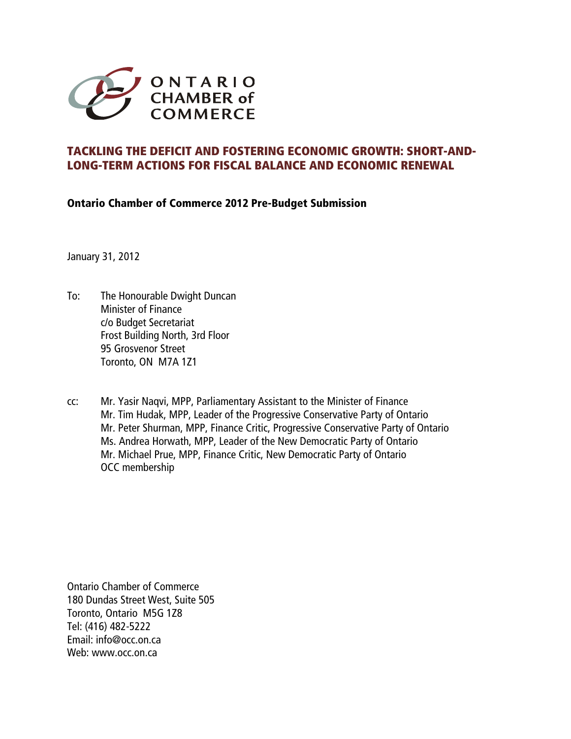

# **TACKLING THE DEFICIT AND FOSTERING ECONOMIC GROWTH: SHORT-AND-LONG-TERM ACTIONS FOR FISCAL BALANCE AND ECONOMIC RENEWAL**

**Ontario Chamber of Commerce 2012 Pre-Budget Submission** 

January 31, 2012

- To: The Honourable Dwight Duncan Minister of Finance c/o Budget Secretariat Frost Building North, 3rd Floor 95 Grosvenor Street Toronto, ON M7A 1Z1
- cc: Mr. Yasir Naqvi, MPP, Parliamentary Assistant to the Minister of Finance Mr. Tim Hudak, MPP, Leader of the Progressive Conservative Party of Ontario Mr. Peter Shurman, MPP, Finance Critic, Progressive Conservative Party of Ontario Ms. Andrea Horwath, MPP, Leader of the New Democratic Party of Ontario Mr. Michael Prue, MPP, Finance Critic, New Democratic Party of Ontario OCC membership

Ontario Chamber of Commerce 180 Dundas Street West, Suite 505 Toronto, Ontario M5G 1Z8 Tel: (416) 482-5222 Email: info@occ.on.ca Web: [www.occ.on.ca](http://www.occ.on.ca/)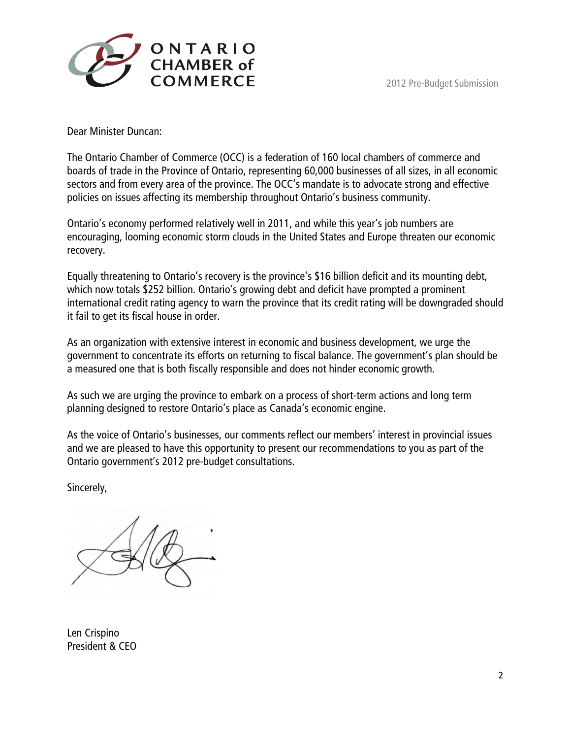



Dear Minister Duncan:

The Ontario Chamber of Commerce (OCC) is a federation of 160 local chambers of commerce and boards of trade in the Province of Ontario, representing 60,000 businesses of all sizes, in all economic sectors and from every area of the province. The OCC's mandate is to advocate strong and effective policies on issues affecting its membership throughout Ontario's business community.

Ontario's economy performed relatively well in 2011, and while this year's job numbers are encouraging, looming economic storm clouds in the United States and Europe threaten our economic recovery.

Equally threatening to Ontario's recovery is the province's \$16 billion deficit and its mounting debt, which now totals \$252 billion. Ontario's growing debt and deficit have prompted a prominent international credit rating agency to warn the province that its credit rating will be downgraded should it fail to get its fiscal house in order.

As an organization with extensive interest in economic and business development, we urge the government to concentrate its efforts on returning to fiscal balance. The government's plan should be a measured one that is both fiscally responsible and does not hinder economic growth.

As such we are urging the province to embark on a process of short-term actions and long term planning designed to restore Ontario's place as Canada's economic engine.

As the voice of Ontario's businesses, our comments reflect our members' interest in provincial issues and we are pleased to have this opportunity to present our recommendations to you as part of the Ontario government's 2012 pre-budget consultations.

Sincerely,

Len Crispino President & CEO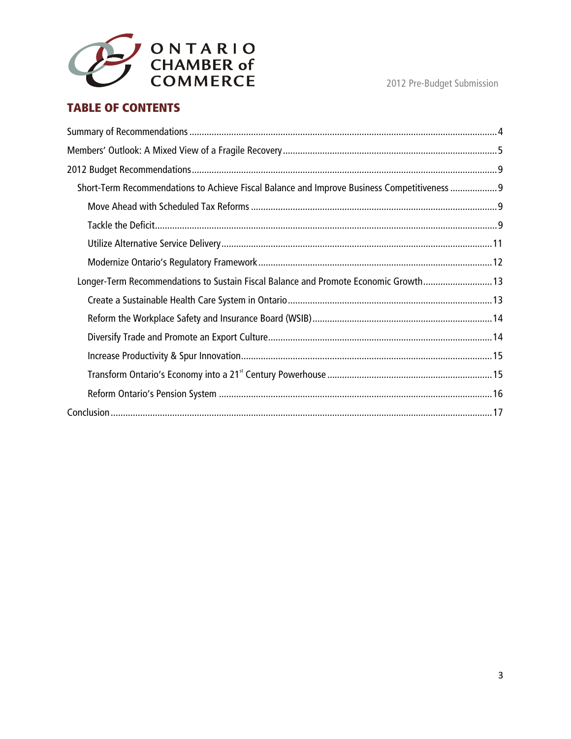

# **TABLE OF CONTENTS**

| Short-Term Recommendations to Achieve Fiscal Balance and Improve Business Competitiveness 9 |
|---------------------------------------------------------------------------------------------|
|                                                                                             |
|                                                                                             |
|                                                                                             |
|                                                                                             |
| Longer-Term Recommendations to Sustain Fiscal Balance and Promote Economic Growth 13        |
|                                                                                             |
|                                                                                             |
|                                                                                             |
|                                                                                             |
|                                                                                             |
|                                                                                             |
|                                                                                             |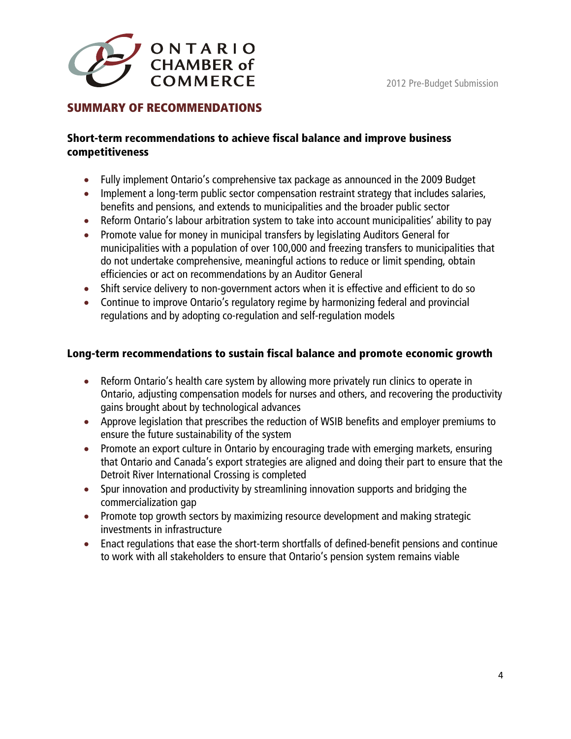<span id="page-3-0"></span>

## **SUMMARY OF RECOMMENDATIONS**

#### **Short-term recommendations to achieve fiscal balance and improve business competitiveness**

- Fully implement Ontario's comprehensive tax package as announced in the 2009 Budget
- Implement a long-term public sector compensation restraint strategy that includes salaries, benefits and pensions, and extends to municipalities and the broader public sector
- Reform Ontario's labour arbitration system to take into account municipalities' ability to pay
- Promote value for money in municipal transfers by legislating Auditors General for municipalities with a population of over 100,000 and freezing transfers to municipalities that do not undertake comprehensive, meaningful actions to reduce or limit spending, obtain efficiencies or act on recommendations by an Auditor General
- Shift service delivery to non-government actors when it is effective and efficient to do so
- Continue to improve Ontario's regulatory regime by harmonizing federal and provincial regulations and by adopting co-regulation and self-regulation models

### **Long-term recommendations to sustain fiscal balance and promote economic growth**

- Reform Ontario's health care system by allowing more privately run clinics to operate in Ontario, adjusting compensation models for nurses and others, and recovering the productivity gains brought about by technological advances
- Approve legislation that prescribes the reduction of WSIB benefits and employer premiums to ensure the future sustainability of the system
- Promote an export culture in Ontario by encouraging trade with emerging markets, ensuring that Ontario and Canada's export strategies are aligned and doing their part to ensure that the Detroit River International Crossing is completed
- Spur innovation and productivity by streamlining innovation supports and bridging the commercialization gap
- Promote top growth sectors by maximizing resource development and making strategic investments in infrastructure
- Enact regulations that ease the short-term shortfalls of defined-benefit pensions and continue to work with all stakeholders to ensure that Ontario's pension system remains viable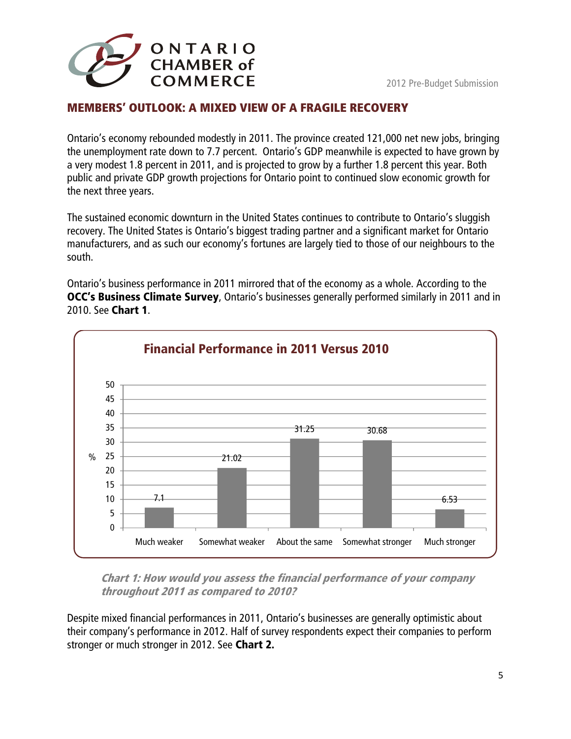<span id="page-4-0"></span>

## **MEMBERS' OUTLOOK: A MIXED VIEW OF A FRAGILE RECOVERY**

Ontario's economy rebounded modestly in 2011. The province created 121,000 net new jobs, bringing the unemployment rate down to 7.7 percent. Ontario's GDP meanwhile is expected to have grown by a very modest 1.8 percent in 2011, and is projected to grow by a further 1.8 percent this year. Both public and private GDP growth projections for Ontario point to continued slow economic growth for the next three years.

The sustained economic downturn in the United States continues to contribute to Ontario's sluggish recovery. The United States is Ontario's biggest trading partner and a significant market for Ontario manufacturers, and as such our economy's fortunes are largely tied to those of our neighbours to the south.

Ontario's business performance in 2011 mirrored that of the economy as a whole. According to the **OCC's Business Climate Survey**, Ontario's businesses generally performed similarly in 2011 and in 2010. See **Chart 1**.



**Chart 1: How would you assess the financial performance of your company throughout 2011 as compared to 2010?** 

Despite mixed financial performances in 2011, Ontario's businesses are generally optimistic about their company's performance in 2012. Half of survey respondents expect their companies to perform stronger or much stronger in 2012. See **Chart 2.**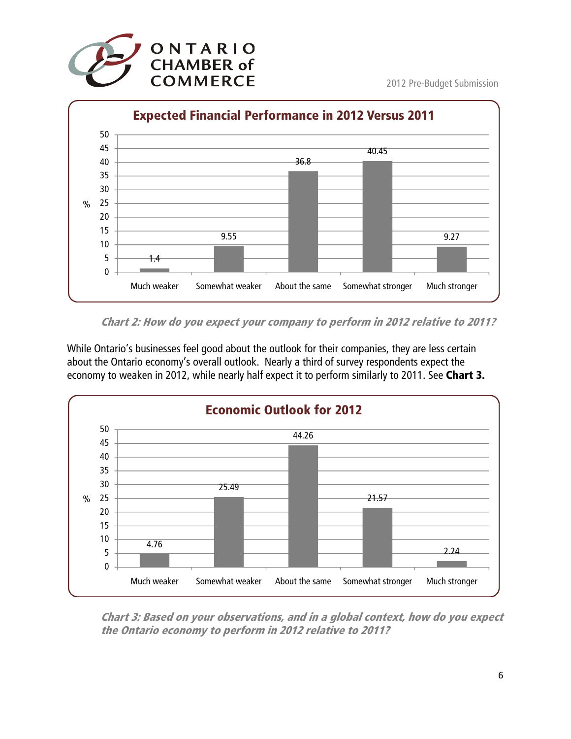



**Chart 2: How do you expect your company to perform in 2012 relative to 2011?** 

While Ontario's businesses feel good about the outlook for their companies, they are less certain about the Ontario economy's overall outlook. Nearly a third of survey respondents expect the economy to weaken in 2012, while nearly half expect it to perform similarly to 2011. See **Chart 3.** 



**Chart 3: Based on your observations, and in a global context, how do you expect the Ontario economy to perform in 2012 relative to 2011?**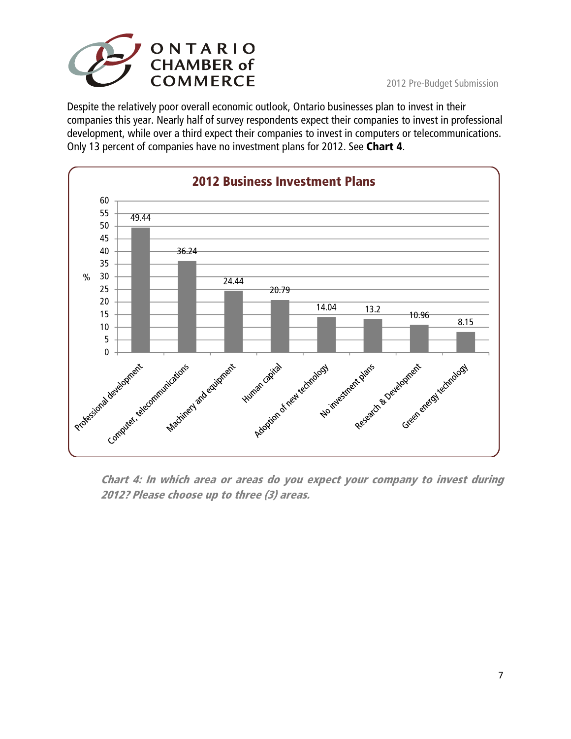

Despite the relatively poor overall economic outlook, Ontario businesses plan to invest in their companies this year. Nearly half of survey respondents expect their companies to invest in professional development, while over a third expect their companies to invest in computers or telecommunications. Only 13 percent of companies have no investment plans for 2012. See **Chart 4**.



**Chart 4: In which area or areas do you expect your company to invest during 2012? Please choose up to three (3) areas.**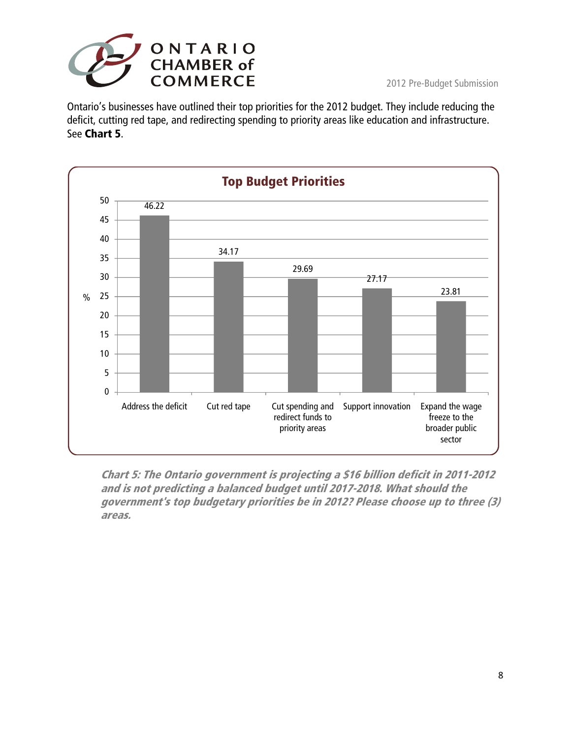

Ontario's businesses have outlined their top priorities for the 2012 budget. They include reducing the deficit, cutting red tape, and redirecting spending to priority areas like education and infrastructure. See **Chart 5**.



**Chart 5: The Ontario government is projecting a \$16 billion deficit in 2011-2012 and is not predicting a balanced budget until 2017-2018. What should the government's top budgetary priorities be in 2012? Please choose up to three (3) areas.**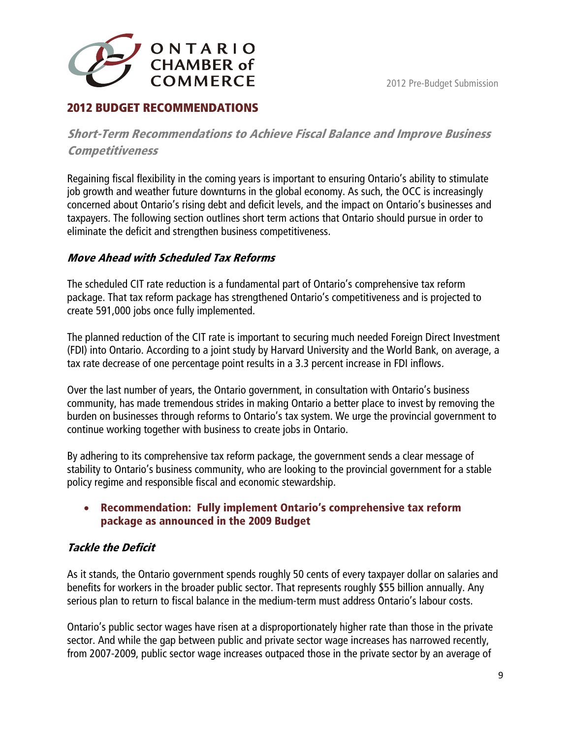<span id="page-8-0"></span>

# **2012 BUDGET RECOMMENDATIONS**

**Short-Term Recommendations to Achieve Fiscal Balance and Improve Business Competitiveness** 

Regaining fiscal flexibility in the coming years is important to ensuring Ontario's ability to stimulate job growth and weather future downturns in the global economy. As such, the OCC is increasingly concerned about Ontario's rising debt and deficit levels, and the impact on Ontario's businesses and taxpayers. The following section outlines short term actions that Ontario should pursue in order to eliminate the deficit and strengthen business competitiveness.

## **Move Ahead with Scheduled Tax Reforms**

The scheduled CIT rate reduction is a fundamental part of Ontario's comprehensive tax reform package. That tax reform package has strengthened Ontario's competitiveness and is projected to create 591,000 jobs once fully implemented.

The planned reduction of the CIT rate is important to securing much needed Foreign Direct Investment (FDI) into Ontario. According to a joint study by Harvard University and the World Bank, on average, a tax rate decrease of one percentage point results in a 3.3 percent increase in FDI inflows.

Over the last number of years, the Ontario government, in consultation with Ontario's business community, has made tremendous strides in making Ontario a better place to invest by removing the burden on businesses through reforms to Ontario's tax system. We urge the provincial government to continue working together with business to create jobs in Ontario.

By adhering to its comprehensive tax reform package, the government sends a clear message of stability to Ontario's business community, who are looking to the provincial government for a stable policy regime and responsible fiscal and economic stewardship.

#### • **Recommendation: Fully implement Ontario's comprehensive tax reform package as announced in the 2009 Budget**

# **Tackle the Deficit**

As it stands, the Ontario government spends roughly 50 cents of every taxpayer dollar on salaries and benefits for workers in the broader public sector. That represents roughly \$55 billion annually. Any serious plan to return to fiscal balance in the medium-term must address Ontario's labour costs.

Ontario's public sector wages have risen at a disproportionately higher rate than those in the private sector. And while the gap between public and private sector wage increases has narrowed recently, from 2007-2009, public sector wage increases outpaced those in the private sector by an average of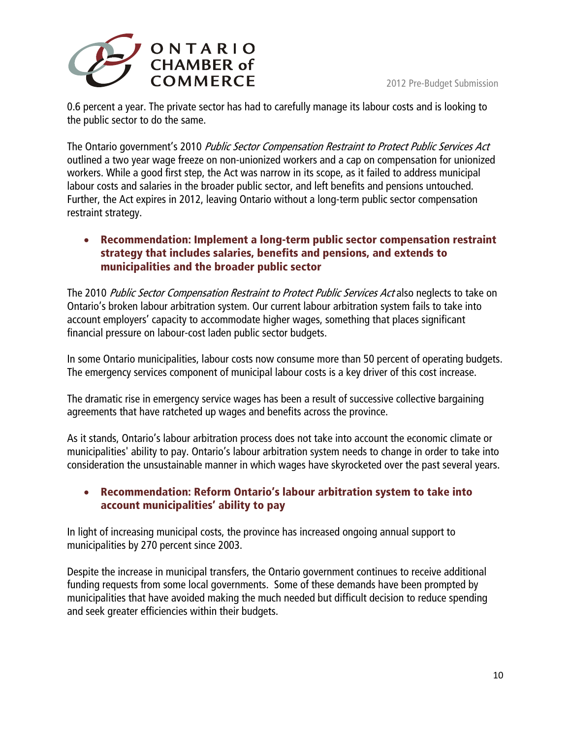

0.6 percent a year. The private sector has had to carefully manage its labour costs and is looking to the public sector to do the same.

The Ontario government's 2010 Public Sector Compensation Restraint to Protect Public Services Act outlined a two year wage freeze on non-unionized workers and a cap on compensation for unionized workers. While a good first step, the Act was narrow in its scope, as it failed to address municipal labour costs and salaries in the broader public sector, and left benefits and pensions untouched. Further, the Act expires in 2012, leaving Ontario without a long-term public sector compensation restraint strategy.

#### • **Recommendation: Implement a long-term public sector compensation restraint strategy that includes salaries, benefits and pensions, and extends to municipalities and the broader public sector**

The 2010 Public Sector Compensation Restraint to Protect Public Services Act also neglects to take on Ontario's broken labour arbitration system. Our current labour arbitration system fails to take into account employers' capacity to accommodate higher wages, something that places significant financial pressure on labour-cost laden public sector budgets.

In some Ontario municipalities, labour costs now consume more than 50 percent of operating budgets. The emergency services component of municipal labour costs is a key driver of this cost increase.

The dramatic rise in emergency service wages has been a result of successive collective bargaining agreements that have ratcheted up wages and benefits across the province.

As it stands, Ontario's labour arbitration process does not take into account the economic climate or municipalities' ability to pay. Ontario's labour arbitration system needs to change in order to take into consideration the unsustainable manner in which wages have skyrocketed over the past several years.

### • **Recommendation: Reform Ontario's labour arbitration system to take into account municipalities' ability to pay**

In light of increasing municipal costs, the province has increased ongoing annual support to municipalities by 270 percent since 2003.

Despite the increase in municipal transfers, the Ontario government continues to receive additional funding requests from some local governments. Some of these demands have been prompted by municipalities that have avoided making the much needed but difficult decision to reduce spending and seek greater efficiencies within their budgets.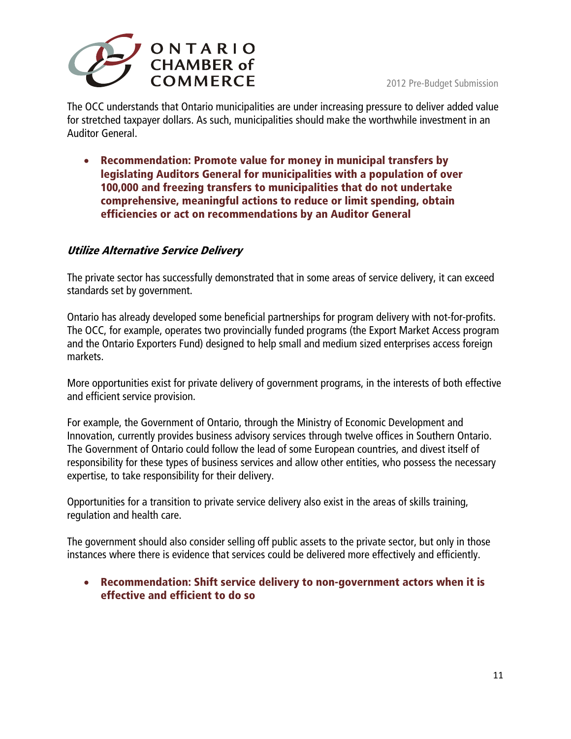<span id="page-10-0"></span>

The OCC understands that Ontario municipalities are under increasing pressure to deliver added value for stretched taxpayer dollars. As such, municipalities should make the worthwhile investment in an Auditor General.

• **Recommendation: Promote value for money in municipal transfers by legislating Auditors General for municipalities with a population of over 100,000 and freezing transfers to municipalities that do not undertake comprehensive, meaningful actions to reduce or limit spending, obtain efficiencies or act on recommendations by an Auditor General** 

### **Utilize Alternative Service Delivery**

The private sector has successfully demonstrated that in some areas of service delivery, it can exceed standards set by government.

Ontario has already developed some beneficial partnerships for program delivery with not-for-profits. The OCC, for example, operates two provincially funded programs (the Export Market Access program and the Ontario Exporters Fund) designed to help small and medium sized enterprises access foreign markets.

More opportunities exist for private delivery of government programs, in the interests of both effective and efficient service provision.

For example, the Government of Ontario, through the Ministry of Economic Development and Innovation, currently provides business advisory services through twelve offices in Southern Ontario. The Government of Ontario could follow the lead of some European countries, and divest itself of responsibility for these types of business services and allow other entities, who possess the necessary expertise, to take responsibility for their delivery.

Opportunities for a transition to private service delivery also exist in the areas of skills training, regulation and health care.

The government should also consider selling off public assets to the private sector, but only in those instances where there is evidence that services could be delivered more effectively and efficiently.

• **Recommendation: Shift service delivery to non-government actors when it is effective and efficient to do so**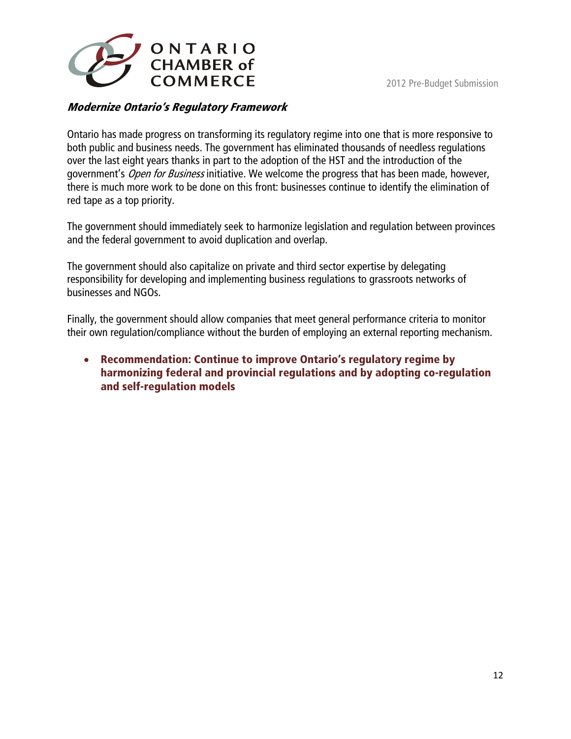<span id="page-11-0"></span>

## **Modernize Ontario's Regulatory Framework**

Ontario has made progress on transforming its regulatory regime into one that is more responsive to both public and business needs. The government has eliminated thousands of needless regulations over the last eight years thanks in part to the adoption of the HST and the introduction of the government's Open for Business initiative. We welcome the progress that has been made, however, there is much more work to be done on this front: businesses continue to identify the elimination of red tape as a top priority.

The government should immediately seek to harmonize legislation and regulation between provinces and the federal government to avoid duplication and overlap.

The government should also capitalize on private and third sector expertise by delegating responsibility for developing and implementing business regulations to grassroots networks of businesses and NGOs.

Finally, the government should allow companies that meet general performance criteria to monitor their own regulation/compliance without the burden of employing an external reporting mechanism.

• **Recommendation: Continue to improve Ontario's regulatory regime by harmonizing federal and provincial regulations and by adopting co-regulation and self-regulation models**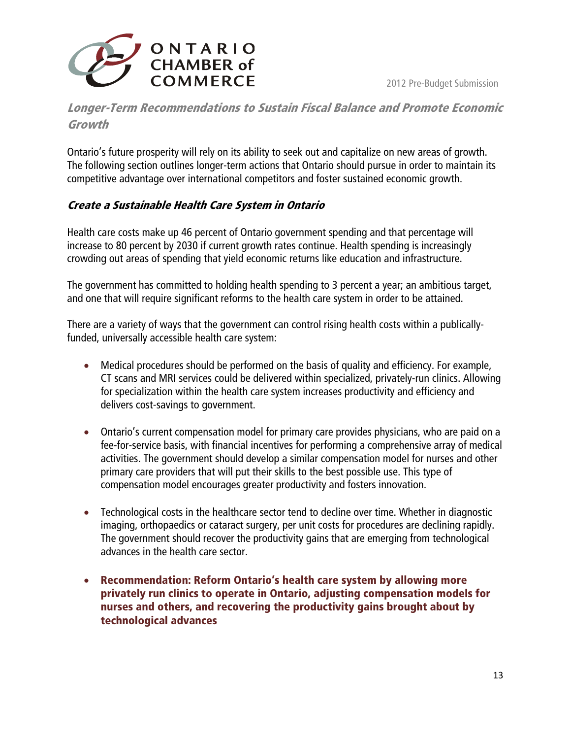<span id="page-12-0"></span>

# **Longer-Term Recommendations to Sustain Fiscal Balance and Promote Economic Growth**

Ontario's future prosperity will rely on its ability to seek out and capitalize on new areas of growth. The following section outlines longer-term actions that Ontario should pursue in order to maintain its competitive advantage over international competitors and foster sustained economic growth.

## **Create a Sustainable Health Care System in Ontario**

Health care costs make up 46 percent of Ontario government spending and that percentage will increase to 80 percent by 2030 if current growth rates continue. Health spending is increasingly crowding out areas of spending that yield economic returns like education and infrastructure.

The government has committed to holding health spending to 3 percent a year; an ambitious target, and one that will require significant reforms to the health care system in order to be attained.

There are a variety of ways that the government can control rising health costs within a publicallyfunded, universally accessible health care system:

- Medical procedures should be performed on the basis of quality and efficiency. For example, CT scans and MRI services could be delivered within specialized, privately-run clinics. Allowing for specialization within the health care system increases productivity and efficiency and delivers cost-savings to government.
- Ontario's current compensation model for primary care provides physicians, who are paid on a fee-for-service basis, with financial incentives for performing a comprehensive array of medical activities. The government should develop a similar compensation model for nurses and other primary care providers that will put their skills to the best possible use. This type of compensation model encourages greater productivity and fosters innovation.
- Technological costs in the healthcare sector tend to decline over time. Whether in diagnostic imaging, orthopaedics or cataract surgery, per unit costs for procedures are declining rapidly. The government should recover the productivity gains that are emerging from technological advances in the health care sector.
- **Recommendation: Reform Ontario's health care system by allowing more privately run clinics to operate in Ontario, adjusting compensation models for nurses and others, and recovering the productivity gains brought about by technological advances**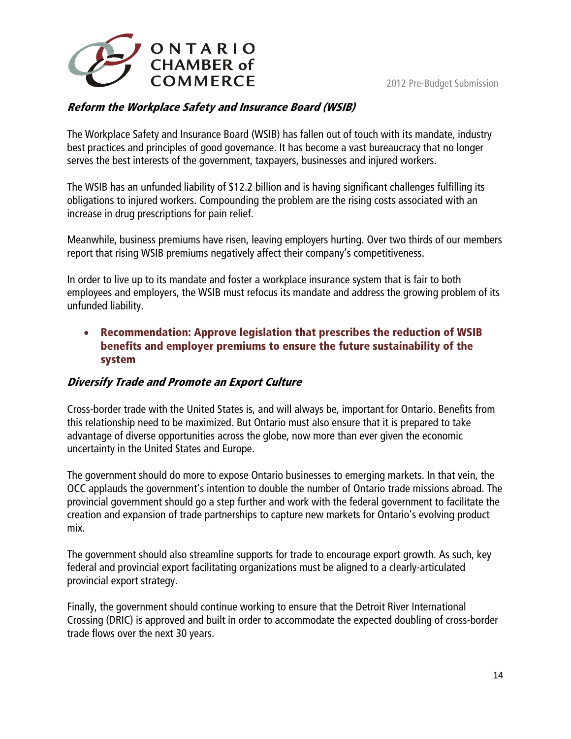<span id="page-13-0"></span>

## **Reform the Workplace Safety and Insurance Board (WSIB)**

The Workplace Safety and Insurance Board (WSIB) has fallen out of touch with its mandate, industry best practices and principles of good governance. It has become a vast bureaucracy that no longer serves the best interests of the government, taxpayers, businesses and injured workers.

The WSIB has an unfunded liability of \$12.2 billion and is having significant challenges fulfilling its obligations to injured workers. Compounding the problem are the rising costs associated with an increase in drug prescriptions for pain relief.

Meanwhile, business premiums have risen, leaving employers hurting. Over two thirds of our members report that rising WSIB premiums negatively affect their company's competitiveness.

In order to live up to its mandate and foster a workplace insurance system that is fair to both employees and employers, the WSIB must refocus its mandate and address the growing problem of its unfunded liability.

#### • **Recommendation: Approve legislation that prescribes the reduction of WSIB benefits and employer premiums to ensure the future sustainability of the system**

### **Diversify Trade and Promote an Export Culture**

Cross-border trade with the United States is, and will always be, important for Ontario. Benefits from this relationship need to be maximized. But Ontario must also ensure that it is prepared to take advantage of diverse opportunities across the globe, now more than ever given the economic uncertainty in the United States and Europe.

The government should do more to expose Ontario businesses to emerging markets. In that vein, the OCC applauds the government's intention to double the number of Ontario trade missions abroad. The provincial government should go a step further and work with the federal government to facilitate the creation and expansion of trade partnerships to capture new markets for Ontario's evolving product mix.

The government should also streamline supports for trade to encourage export growth. As such, key federal and provincial export facilitating organizations must be aligned to a clearly-articulated provincial export strategy.

Finally, the government should continue working to ensure that the Detroit River International Crossing (DRIC) is approved and built in order to accommodate the expected doubling of cross-border trade flows over the next 30 years.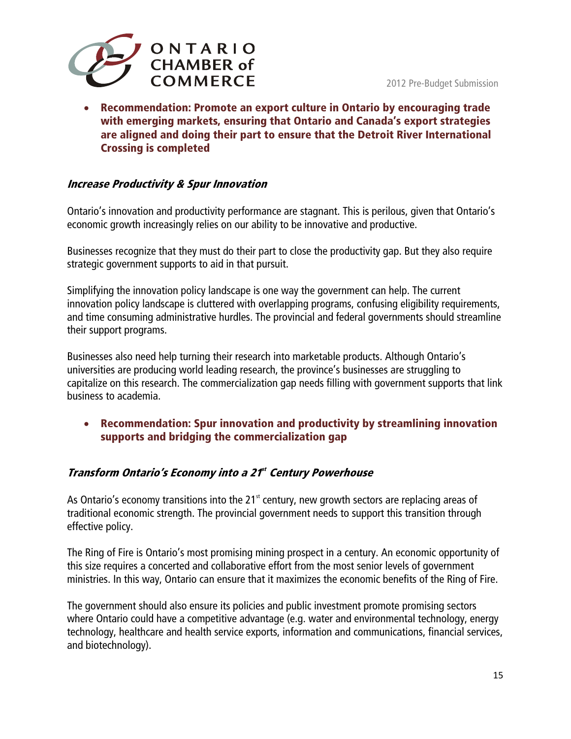<span id="page-14-0"></span>

• **Recommendation: Promote an export culture in Ontario by encouraging trade with emerging markets, ensuring that Ontario and Canada's export strategies are aligned and doing their part to ensure that the Detroit River International Crossing is completed** 

#### **Increase Productivity & Spur Innovation**

Ontario's innovation and productivity performance are stagnant. This is perilous, given that Ontario's economic growth increasingly relies on our ability to be innovative and productive.

Businesses recognize that they must do their part to close the productivity gap. But they also require strategic government supports to aid in that pursuit.

Simplifying the innovation policy landscape is one way the government can help. The current innovation policy landscape is cluttered with overlapping programs, confusing eligibility requirements, and time consuming administrative hurdles. The provincial and federal governments should streamline their support programs.

Businesses also need help turning their research into marketable products. Although Ontario's universities are producing world leading research, the province's businesses are struggling to capitalize on this research. The commercialization gap needs filling with government supports that link business to academia.

• **Recommendation: Spur innovation and productivity by streamlining innovation supports and bridging the commercialization gap** 

### **Transform Ontario's Economy into a 21st Century Powerhouse**

As Ontario's economy transitions into the 21 $<sup>st</sup>$  century, new growth sectors are replacing areas of</sup> traditional economic strength. The provincial government needs to support this transition through effective policy.

The Ring of Fire is Ontario's most promising mining prospect in a century. An economic opportunity of this size requires a concerted and collaborative effort from the most senior levels of government ministries. In this way, Ontario can ensure that it maximizes the economic benefits of the Ring of Fire.

The government should also ensure its policies and public investment promote promising sectors where Ontario could have a competitive advantage (e.g. water and environmental technology, energy technology, healthcare and health service exports, information and communications, financial services, and biotechnology).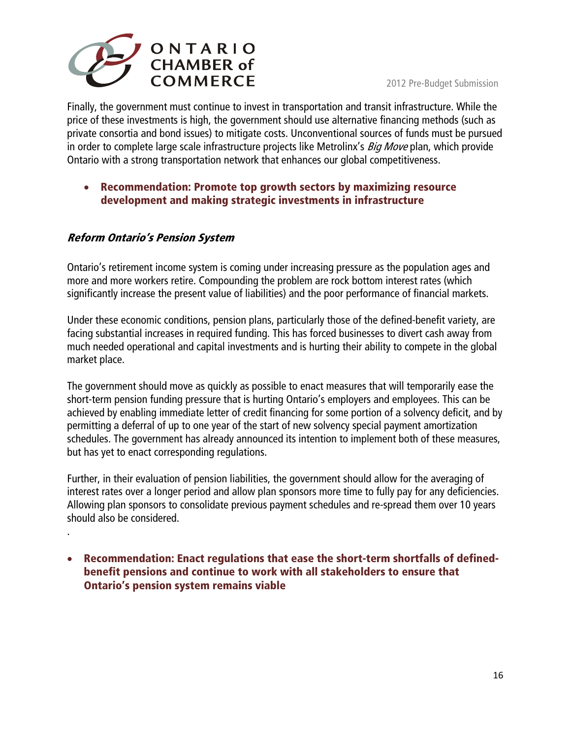<span id="page-15-0"></span>

Finally, the government must continue to invest in transportation and transit infrastructure. While the price of these investments is high, the government should use alternative financing methods (such as private consortia and bond issues) to mitigate costs. Unconventional sources of funds must be pursued in order to complete large scale infrastructure projects like Metrolinx's *Big Move* plan, which provide Ontario with a strong transportation network that enhances our global competitiveness.

## • **Recommendation: Promote top growth sectors by maximizing resource development and making strategic investments in infrastructure**

### **Reform Ontario's Pension System**

.

Ontario's retirement income system is coming under increasing pressure as the population ages and more and more workers retire. Compounding the problem are rock bottom interest rates (which significantly increase the present value of liabilities) and the poor performance of financial markets.

Under these economic conditions, pension plans, particularly those of the defined-benefit variety, are facing substantial increases in required funding. This has forced businesses to divert cash away from much needed operational and capital investments and is hurting their ability to compete in the global market place.

The government should move as quickly as possible to enact measures that will temporarily ease the short-term pension funding pressure that is hurting Ontario's employers and employees. This can be achieved by enabling immediate letter of credit financing for some portion of a solvency deficit, and by permitting a deferral of up to one year of the start of new solvency special payment amortization schedules. The government has already announced its intention to implement both of these measures, but has yet to enact corresponding regulations.

Further, in their evaluation of pension liabilities, the government should allow for the averaging of interest rates over a longer period and allow plan sponsors more time to fully pay for any deficiencies. Allowing plan sponsors to consolidate previous payment schedules and re-spread them over 10 years should also be considered.

• **Recommendation: Enact regulations that ease the short-term shortfalls of definedbenefit pensions and continue to work with all stakeholders to ensure that Ontario's pension system remains viable**